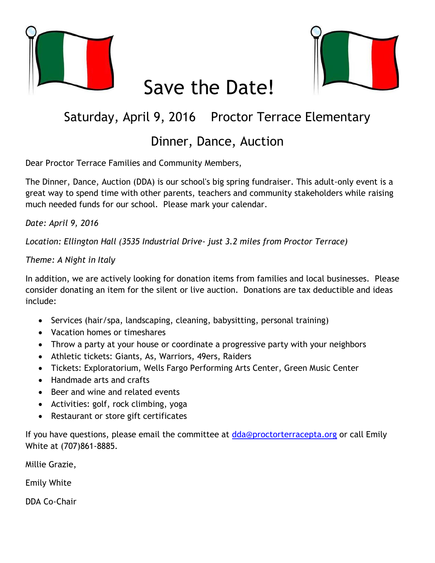

# Save the Date!



## Saturday, April 9, 2016 Proctor Terrace Elementary

### Dinner, Dance, Auction

Dear Proctor Terrace Families and Community Members,

The Dinner, Dance, Auction (DDA) is our school's big spring fundraiser. This adult-only event is a great way to spend time with other parents, teachers and community stakeholders while raising much needed funds for our school. Please mark your calendar.

#### *Date: April 9, 2016*

*Location: Ellington Hall (3535 Industrial Drive- just 3.2 miles from Proctor Terrace)*

#### *Theme: A Night in Italy*

In addition, we are actively looking for donation items from families and local businesses. Please consider donating an item for the silent or live auction. Donations are tax deductible and ideas include:

- Services (hair/spa, landscaping, cleaning, babysitting, personal training)
- Vacation homes or timeshares
- Throw a party at your house or coordinate a progressive party with your neighbors
- Athletic tickets: Giants, As, Warriors, 49ers, Raiders
- Tickets: Exploratorium, Wells Fargo Performing Arts Center, Green Music Center
- Handmade arts and crafts
- Beer and wine and related events
- Activities: golf, rock climbing, yoga
- Restaurant or store gift certificates

If you have questions, please email the committee at [dda@proctorterracepta.org](mailto:dda@proctorterrace.org) or call Emily White at (707)861-8885.

Millie Grazie,

Emily White

DDA Co-Chair